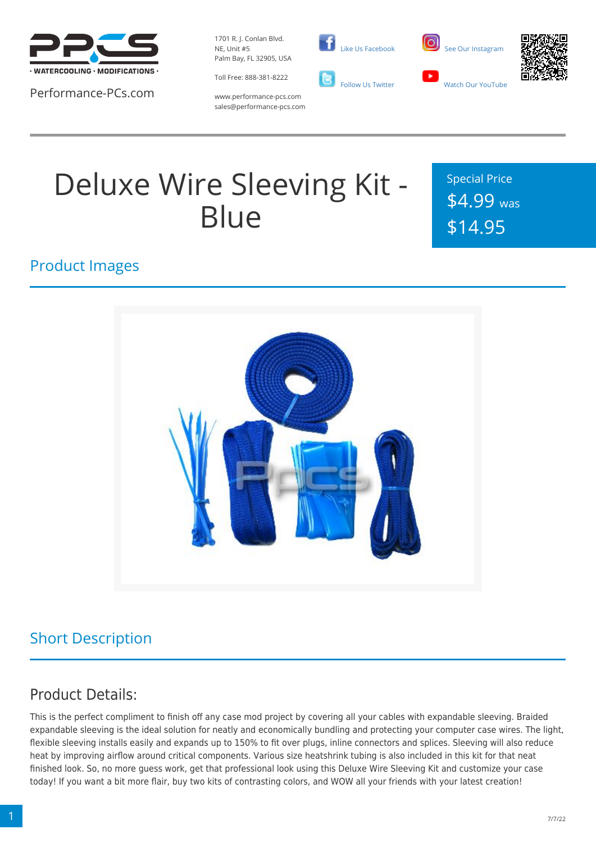

Performance-PCs.com

1701 R. J. Conlan Blvd. NE, Unit #5 Palm Bay, FL 32905, USA



 [Like Us Facebook](https://www.facebook.com/PerformancePCs)  [Follow Us Twitter](https://twitter.com/PerformancePCs)





www.performance-pcs.com sales@performance-pcs.com

# Deluxe Wire Sleeving Kit - **Blue**

Special Price \$4.99 was \$14.95

#### Product Images



### Short Description

#### Product Details:

This is the perfect compliment to finish off any case mod project by covering all your cables with expandable sleeving. Braided expandable sleeving is the ideal solution for neatly and economically bundling and protecting your computer case wires. The light, flexible sleeving installs easily and expands up to 150% to fit over plugs, inline connectors and splices. Sleeving will also reduce heat by improving airflow around critical components. Various size heatshrink tubing is also included in this kit for that neat finished look. So, no more guess work, get that professional look using this Deluxe Wire Sleeving Kit and customize your case today! If you want a bit more flair, buy two kits of contrasting colors, and WOW all your friends with your latest creation!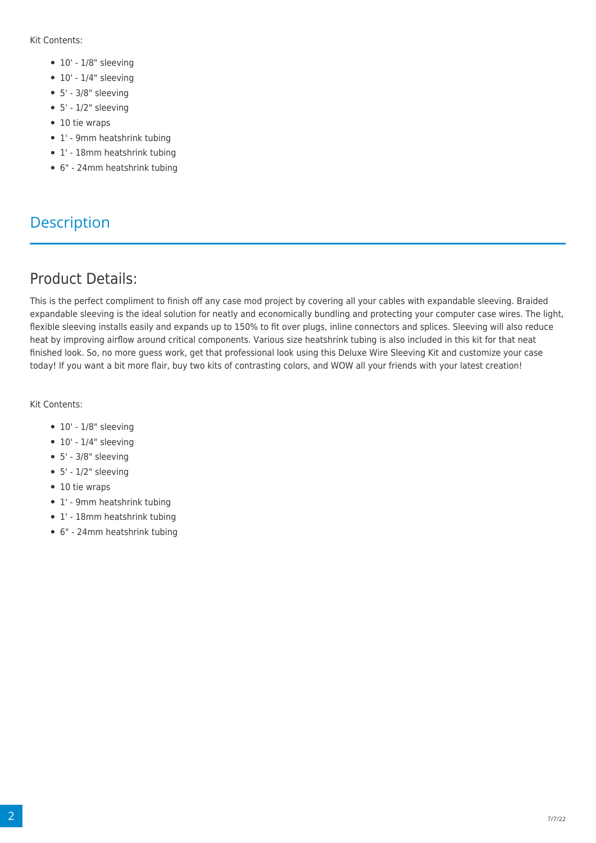Kit Contents:

- $\bullet$  10' 1/8" sleeving
- $\bullet$  10' 1/4" sleeving
- $5' 3/8"$  sleeving
- $5' 1/2" sleeving$
- 10 tie wraps
- 1' 9mm heatshrink tubing
- 1' 18mm heatshrink tubing
- 6" 24mm heatshrink tubing

#### **Description**

#### Product Details:

This is the perfect compliment to finish off any case mod project by covering all your cables with expandable sleeving. Braided expandable sleeving is the ideal solution for neatly and economically bundling and protecting your computer case wires. The light, flexible sleeving installs easily and expands up to 150% to fit over plugs, inline connectors and splices. Sleeving will also reduce heat by improving airflow around critical components. Various size heatshrink tubing is also included in this kit for that neat finished look. So, no more guess work, get that professional look using this Deluxe Wire Sleeving Kit and customize your case today! If you want a bit more flair, buy two kits of contrasting colors, and WOW all your friends with your latest creation!

Kit Contents:

- $\bullet$  10' 1/8" sleeving
- $\bullet$  10' 1/4" sleeving
- $5' 3/8"$  sleeving
- $5' 1/2"$  sleeving
- 10 tie wraps
- 1' 9mm heatshrink tubing
- 1' 18mm heatshrink tubing
- 6" 24mm heatshrink tubing